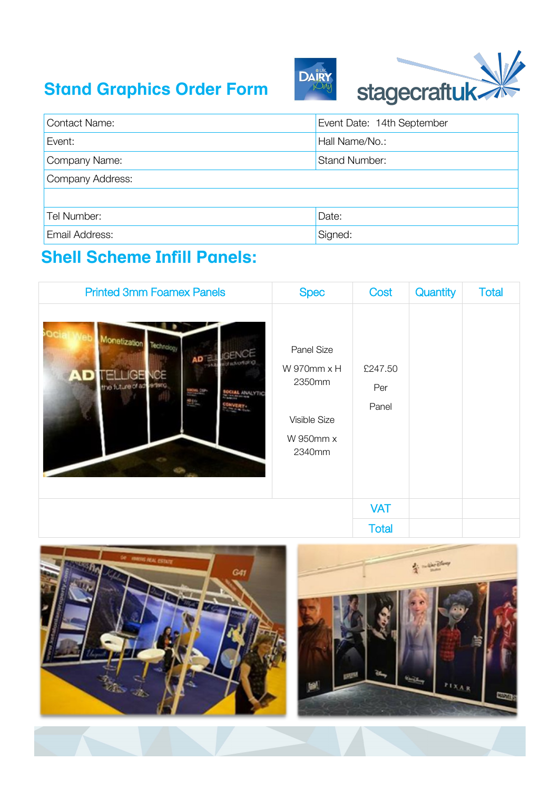## **Stand Graphics Order Form**





| <b>Contact Name:</b> | Event Date: 14th September |  |  |
|----------------------|----------------------------|--|--|
| Event:               | Hall Name/No.:             |  |  |
| Company Name:        | <b>Stand Number:</b>       |  |  |
| Company Address:     |                            |  |  |
|                      |                            |  |  |
| Tel Number:          | Date:                      |  |  |
| Email Address:       | Signed:                    |  |  |

## **Shell Scheme Infill Panels:**

| <b>Printed 3mm Foamex Panels</b>                                                                                               | <b>Spec</b>                                                                    | Cost                    | Quantity | <b>Total</b> |
|--------------------------------------------------------------------------------------------------------------------------------|--------------------------------------------------------------------------------|-------------------------|----------|--------------|
| Monetization Technology<br>AD BLUGENCE<br>andvortung<br>ICE<br>ы×<br>the future of advertised<br><b>DESIGN</b><br>Theodor<br>뿐 | Panel Size<br>$W$ 970mm $x$ H<br>2350mm<br>Visible Size<br>W 950mm x<br>2340mm | £247.50<br>Per<br>Panel |          |              |
|                                                                                                                                |                                                                                | <b>VAT</b>              |          |              |
|                                                                                                                                |                                                                                | <b>Total</b>            |          |              |